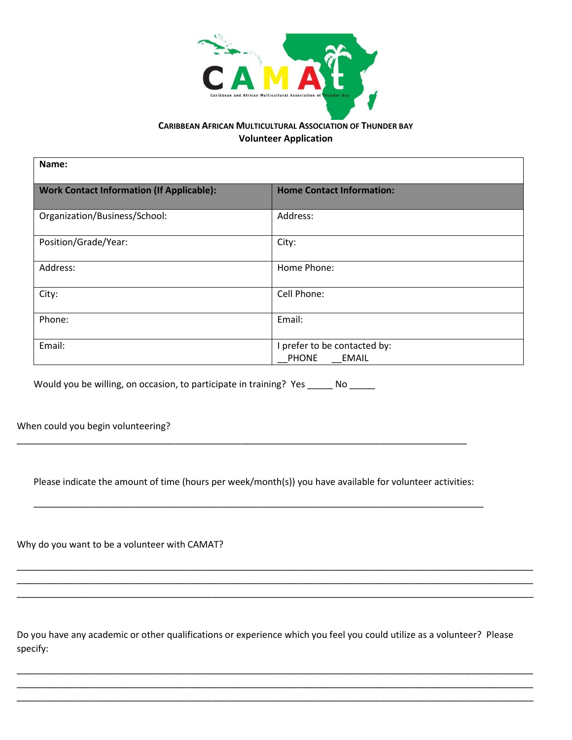

## **CARIBBEAN AFRICAN MULTICULTURAL ASSOCIATION OF THUNDER BAY Volunteer Application**

| Name:                                            |                                                              |  |
|--------------------------------------------------|--------------------------------------------------------------|--|
| <b>Work Contact Information (If Applicable):</b> | <b>Home Contact Information:</b>                             |  |
| Organization/Business/School:                    | Address:                                                     |  |
| Position/Grade/Year:                             | City:                                                        |  |
| Address:                                         | Home Phone:                                                  |  |
| City:                                            | Cell Phone:                                                  |  |
| Phone:                                           | Email:                                                       |  |
| Email:                                           | I prefer to be contacted by:<br><b>PHONE</b><br><b>EMAIL</b> |  |

Would you be willing, on occasion, to participate in training? Yes \_\_\_\_\_ No \_\_\_\_\_

When could you begin volunteering?

Please indicate the amount of time (hours per week/month(s)) you have available for volunteer activities:

\_\_\_\_\_\_\_\_\_\_\_\_\_\_\_\_\_\_\_\_\_\_\_\_\_\_\_\_\_\_\_\_\_\_\_\_\_\_\_\_\_\_\_\_\_\_\_\_\_\_\_\_\_\_\_\_\_\_\_\_\_\_\_\_\_\_\_\_\_\_\_\_\_\_\_\_\_\_\_\_\_\_\_\_\_\_\_\_

\_\_\_\_\_\_\_\_\_\_\_\_\_\_\_\_\_\_\_\_\_\_\_\_\_\_\_\_\_\_\_\_\_\_\_\_\_\_\_\_\_\_\_\_\_\_\_\_\_\_\_\_\_\_\_\_\_\_\_\_\_\_\_\_\_\_\_\_\_\_\_\_\_\_\_\_\_\_\_\_\_\_\_\_\_\_\_\_

Why do you want to be a volunteer with CAMAT?

Do you have any academic or other qualifications or experience which you feel you could utilize as a volunteer? Please specify:

\_\_\_\_\_\_\_\_\_\_\_\_\_\_\_\_\_\_\_\_\_\_\_\_\_\_\_\_\_\_\_\_\_\_\_\_\_\_\_\_\_\_\_\_\_\_\_\_\_\_\_\_\_\_\_\_\_\_\_\_\_\_\_\_\_\_\_\_\_\_\_\_\_\_\_\_\_\_\_\_\_\_\_\_\_\_\_\_\_\_\_\_\_\_\_\_\_\_\_\_\_ \_\_\_\_\_\_\_\_\_\_\_\_\_\_\_\_\_\_\_\_\_\_\_\_\_\_\_\_\_\_\_\_\_\_\_\_\_\_\_\_\_\_\_\_\_\_\_\_\_\_\_\_\_\_\_\_\_\_\_\_\_\_\_\_\_\_\_\_\_\_\_\_\_\_\_\_\_\_\_\_\_\_\_\_\_\_\_\_\_\_\_\_\_\_\_\_\_\_\_\_\_ \_\_\_\_\_\_\_\_\_\_\_\_\_\_\_\_\_\_\_\_\_\_\_\_\_\_\_\_\_\_\_\_\_\_\_\_\_\_\_\_\_\_\_\_\_\_\_\_\_\_\_\_\_\_\_\_\_\_\_\_\_\_\_\_\_\_\_\_\_\_\_\_\_\_\_\_\_\_\_\_\_\_\_\_\_\_\_\_\_\_\_\_\_\_\_\_\_\_\_\_\_

\_\_\_\_\_\_\_\_\_\_\_\_\_\_\_\_\_\_\_\_\_\_\_\_\_\_\_\_\_\_\_\_\_\_\_\_\_\_\_\_\_\_\_\_\_\_\_\_\_\_\_\_\_\_\_\_\_\_\_\_\_\_\_\_\_\_\_\_\_\_\_\_\_\_\_\_\_\_\_\_\_\_\_\_\_\_\_\_\_\_\_\_\_\_\_\_\_\_\_\_\_ \_\_\_\_\_\_\_\_\_\_\_\_\_\_\_\_\_\_\_\_\_\_\_\_\_\_\_\_\_\_\_\_\_\_\_\_\_\_\_\_\_\_\_\_\_\_\_\_\_\_\_\_\_\_\_\_\_\_\_\_\_\_\_\_\_\_\_\_\_\_\_\_\_\_\_\_\_\_\_\_\_\_\_\_\_\_\_\_\_\_\_\_\_\_\_\_\_\_\_\_\_ \_\_\_\_\_\_\_\_\_\_\_\_\_\_\_\_\_\_\_\_\_\_\_\_\_\_\_\_\_\_\_\_\_\_\_\_\_\_\_\_\_\_\_\_\_\_\_\_\_\_\_\_\_\_\_\_\_\_\_\_\_\_\_\_\_\_\_\_\_\_\_\_\_\_\_\_\_\_\_\_\_\_\_\_\_\_\_\_\_\_\_\_\_\_\_\_\_\_\_\_\_